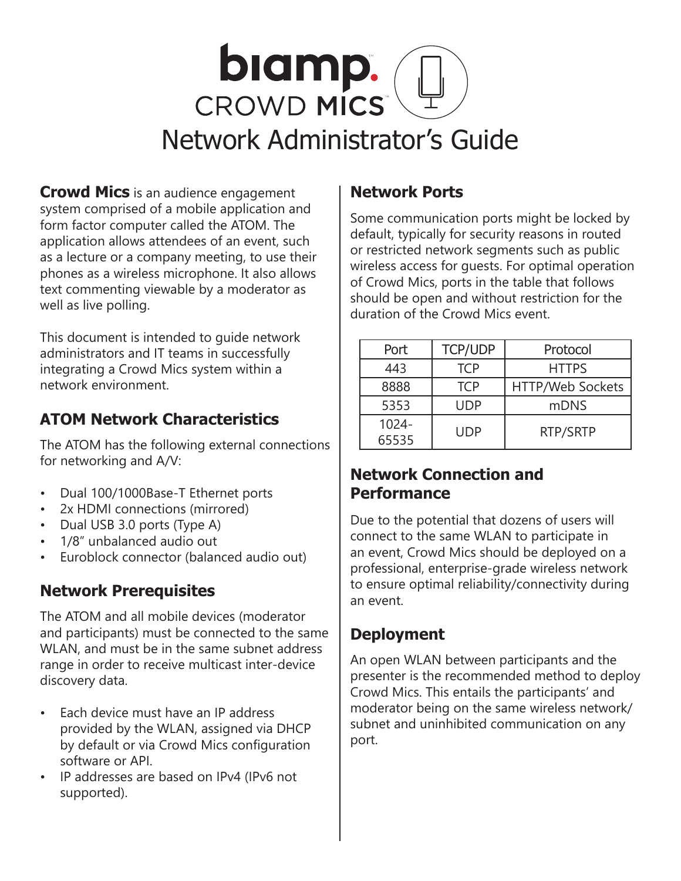

**Crowd Mics** is an audience engagement system comprised of a mobile application and form factor computer called the ATOM. The application allows attendees of an event, such as a lecture or a company meeting, to use their phones as a wireless microphone. It also allows text commenting viewable by a moderator as well as live polling.

This document is intended to guide network administrators and IT teams in successfully integrating a Crowd Mics system within a network environment.

# **ATOM Network Characteristics**

The ATOM has the following external connections for networking and A/V:

- Dual 100/1000Base-T Ethernet ports
- 2x HDMI connections (mirrored)
- Dual USB 3.0 ports (Type A)
- 1/8" unbalanced audio out
- Euroblock connector (balanced audio out)

## **Network Prerequisites**

The ATOM and all mobile devices (moderator and participants) must be connected to the same WLAN, and must be in the same subnet address range in order to receive multicast inter-device discovery data.

- Each device must have an IP address provided by the WLAN, assigned via DHCP by default or via Crowd Mics configuration software or API.
- IP addresses are based on IPv4 (IPv6 not supported).

# **Network Ports**

Some communication ports might be locked by default, typically for security reasons in routed or restricted network segments such as public wireless access for guests. For optimal operation of Crowd Mics, ports in the table that follows should be open and without restriction for the duration of the Crowd Mics event.

| Port              | <b>TCP/UDP</b> | Protocol         |
|-------------------|----------------|------------------|
| 443               | <b>TCP</b>     | <b>HTTPS</b>     |
| 8888              | <b>TCP</b>     | HTTP/Web Sockets |
| 5353              | UDP            | mDNS             |
| $1024 -$<br>65535 | UDP            | RTP/SRTP         |

## **Network Connection and Performance**

Due to the potential that dozens of users will connect to the same WLAN to participate in an event, Crowd Mics should be deployed on a professional, enterprise-grade wireless network to ensure optimal reliability/connectivity during an event.

# **Deployment**

An open WLAN between participants and the presenter is the recommended method to deploy Crowd Mics. This entails the participants' and moderator being on the same wireless network/ subnet and uninhibited communication on any port.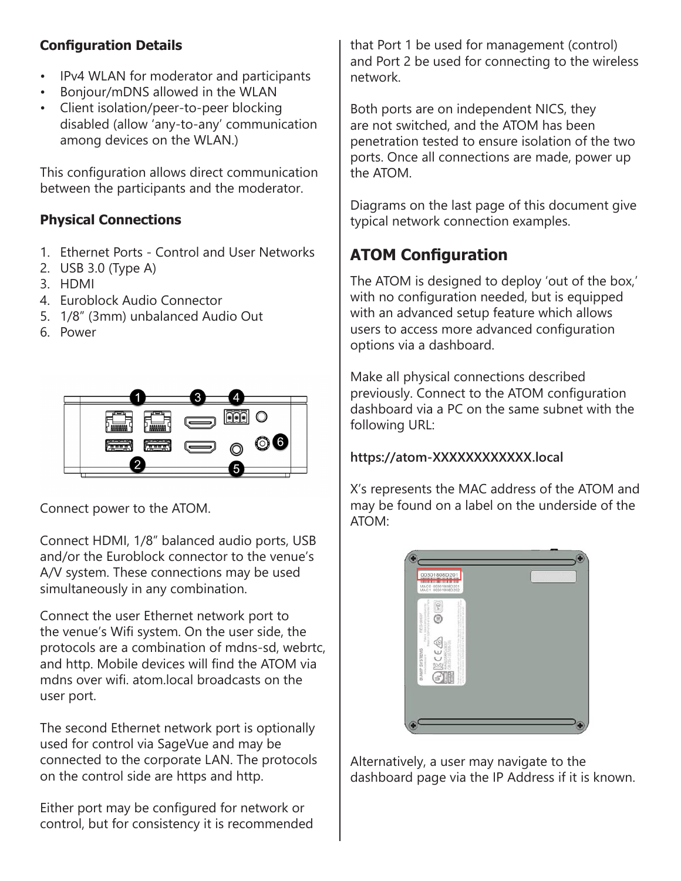### **Configuration Details**

- IPv4 WLAN for moderator and participants
- Bonjour/mDNS allowed in the WLAN
- Client isolation/peer-to-peer blocking disabled (allow 'any-to-any' communication among devices on the WLAN.)

This configuration allows direct communication between the participants and the moderator.

### **Physical Connections**

- 1. Ethernet Ports Control and User Networks
- 2. USB 3.0 (Type A)
- 3. HDMI
- 4. Euroblock Audio Connector
- 5. 1/8" (3mm) unbalanced Audio Out
- 6. Power



Connect power to the ATOM.

Connect HDMI, 1/8" balanced audio ports, USB and/or the Euroblock connector to the venue's A/V system. These connections may be used simultaneously in any combination.

Connect the user Ethernet network port to the venue's Wifi system. On the user side, the protocols are a combination of mdns-sd, webrtc, and http. Mobile devices will find the ATOM via mdns over wifi. atom.local broadcasts on the user port.

The second Ethernet network port is optionally used for control via SageVue and may be connected to the corporate LAN. The protocols on the control side are https and http.

Either port may be configured for network or control, but for consistency it is recommended that Port 1 be used for management (control) and Port 2 be used for connecting to the wireless network.

Both ports are on independent NICS, they are not switched, and the ATOM has been penetration tested to ensure isolation of the two ports. Once all connections are made, power up the ATOM.

Diagrams on the last page of this document give typical network connection examples.

# **ATOM Configuration**

The ATOM is designed to deploy 'out of the box,' with no configuration needed, but is equipped with an advanced setup feature which allows users to access more advanced configuration options via a dashboard.

Make all physical connections described previously. Connect to the ATOM configuration dashboard via a PC on the same subnet with the following URL:

#### **https://atom-XXXXXXXXXXXX.local**

X's represents the MAC address of the ATOM and may be found on a label on the underside of the ATOM:



Alternatively, a user may navigate to the dashboard page via the IP Address if it is known.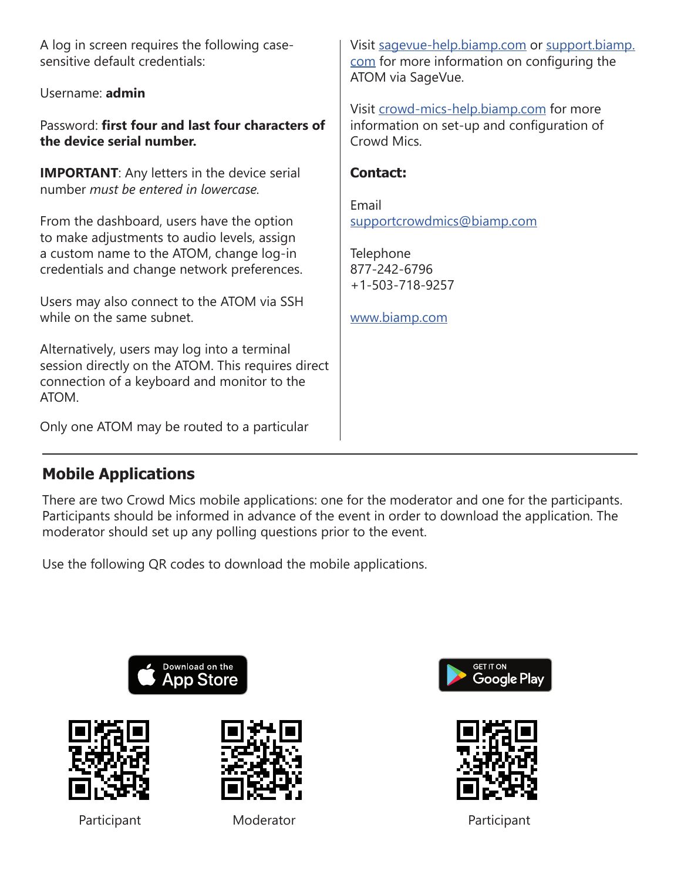A log in screen requires the following casesensitive default credentials:

#### Username: **admin**

Password: **first four and last four characters of the device serial number.** 

**IMPORTANT**: Any letters in the device serial number *must be entered in lowercase.*

From the dashboard, users have the option to make adjustments to audio levels, assign a custom name to the ATOM, change log-in credentials and change network preferences.

Users may also connect to the ATOM via SSH while on the same subnet.

Alternatively, users may log into a terminal session directly on the ATOM. This requires direct connection of a keyboard and monitor to the ATOM.

Only one ATOM may be routed to a particular

Visit [sagevue-help.biamp.com](http://sagevue-help.biamp.com) or [support.biamp.](http://support.biamp.com) [com](http://support.biamp.com) for more information on configuring the ATOM via SageVue.

Visit [crowd-mics-help.biamp.com](http://crowd-mics-help.biamp.com) for more information on set-up and configuration of Crowd Mics.

### **Contact:**

Email supportcrowdmics@biamp.com

**Telephone** 877-242-6796 +1-503-718-9257

www.biamp.com

## **Mobile Applications**

There are two Crowd Mics mobile applications: one for the moderator and one for the participants. Participants should be informed in advance of the event in order to download the application. The moderator should set up any polling questions prior to the event.

Use the following QR codes to download the mobile applications.







Participant Moderator Moderator Participant